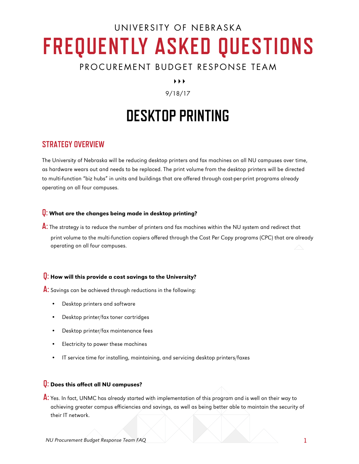# UNIVERSITY OF NEBRASKA **FREQUENTLY ASKED QUESTIONS**

# PROCUREMENT BUDGET RESPONSE TEAM

 $\blacktriangleright$   $\blacktriangleright$   $\blacktriangleright$ 

# 9/18/17

# **DESKTOP PRINTING**

# **STRATEGY OVERVIEW**

The University of Nebraska will be reducing desktop printers and fax machines on all NU campuses over time, as hardware wears out and needs to be replaced. The print volume from the desktop printers will be directed to multi-function "biz hubs" in units and buildings that are offered through cost-per-print programs already operating on all four campuses.

# **Q:** What are the changes being made in desktop printing?

**A:** The strategy is to reduce the number of printers and fax machines within the NU system and redirect that print volume to the multi-function copiers offered through the Cost Per Copy programs (CPC) that are already operating on all four campuses.

# **Q:** How will this provide a cost savings to the University?

**A:** Savings can be achieved through reductions in the following:

- Desktop printers and software
- Desktop printer/fax toner cartridges
- Desktop printer/fax maintenance fees
- Electricity to power these machines
- IT service time for installing, maintaining, and servicing desktop printers/faxes

#### **Q:** Does this affect all NU campuses?

**A:** Yes. In fact, UNMC has already started with implementation of this program and is well on their way to achieving greater campus efficiencies and savings, as well as being better able to maintain the security of their IT network.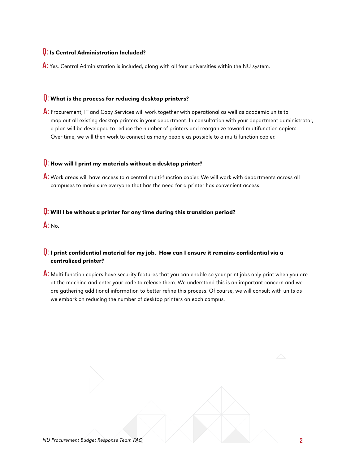### **Q:** Is Central Administration Included?

A: Yes. Central Administration is included, along with all four universities within the NU system.

#### **Q:** What is the process for reducing desktop printers?

**A:** Procurement, IT and Copy Services will work together with operational as well as academic units to map out all existing desktop printers in your department. In consultation with your department administrator, a plan will be developed to reduce the number of printers and reorganize toward multifunction copiers. Over time, we will then work to connect as many people as possible to a multi-function copier.

#### **Q:** How will I print my materials without a desktop printer?

**A:** Work areas will have access to a central multi-function copier. We will work with departments across all campuses to make sure everyone that has the need for a printer has convenient access.

#### **Q:** Will I be without a printer for any time during this transition period?

**A:** No.

# **Q:** I print confidential material for my job. How can I ensure it remains confidential via a centralized printer?

**A:** Multi-function copiers have security features that you can enable so your print jobs only print when you are at the machine and enter your code to release them. We understand this is an important concern and we are gathering additional information to better refine this process. Of course, we will consult with units as we embark on reducing the number of desktop printers on each campus.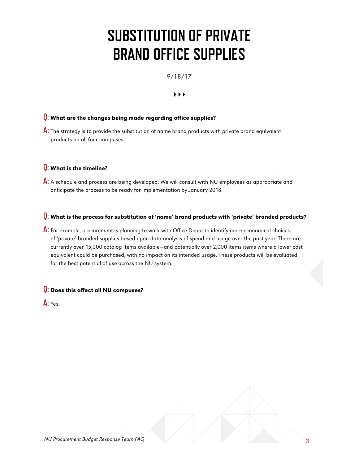# **SUBSTITUTION OF PRIVATE BRAND OFFICE SUPPLIES**

9/18/17

#### $\rightarrow$   $\rightarrow$

# **Q:** What are the changes being made regarding office supplies?

**A:** The strategy is to provide the substitution of name brand products with private brand equivalent products on all four campuses.

### **Q:** What is the timeline?

A: A schedule and process are being developed. We will consult with NU employees as appropriate and anticipate the process to be ready for implementation by January 2018.

#### **Q:** What is the process for substitution of 'name' brand products with 'private' branded products?

**A:** For example, procurement is planning to work with Office Depot to identify more economical choices of 'private' branded supplies based upon data analysis of spend and usage over the past year. There are currently over 15,000 catalog items available—and potentially over 2,000 items items where a lower cost equivalent could be purchased, with no impact on its intended usage. These products will be evaluated for the best potential of use across the NU system.

#### **Q:** Does this affect all NU campuses?

**A:** Yes.

**3**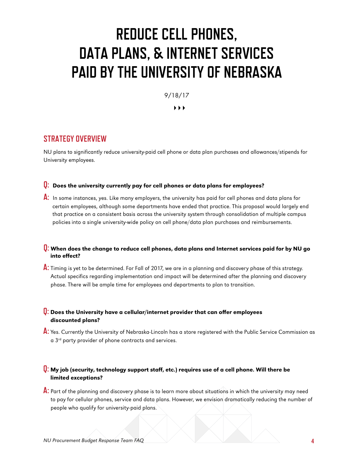# **REDUCE CELL PHONES, DATA PLANS, & INTERNET SERVICES PAID BY THE UNIVERSITY OF NEBRASKA**

9/18/17

 $\blacktriangleright$   $\blacktriangleright$   $\blacktriangleright$ 

# **STRATEGY OVERVIEW**

NU plans to significantly reduce university-paid cell phone or data plan purchases and allowances/stipends for University employees.

# **Q:** Does the university currently pay for cell phones or data plans for employees?

**A:** In some instances, yes. Like many employers, the university has paid for cell phones and data plans for certain employees, although some departments have ended that practice. This proposal would largely end that practice on a consistent basis across the university system through consolidation of multiple campus policies into a single university-wide policy on cell phone/data plan purchases and reimbursements.

### **Q:** When does the change to reduce cell phones, data plans and Internet services paid for by NU go into effect?

**A:** Timing is yet to be determined. For Fall of 2017, we are in a planning and discovery phase of this strategy. Actual specifics regarding implementation and impact will be determined after the planning and discovery phase. There will be ample time for employees and departments to plan to transition.

# **Q:** Does the University have a cellular/internet provider that can offer employees discounted plans?

**A:** Yes. Currently the University of Nebraska-Lincoln has a store registered with the Public Service Commission as a 3<sup>rd</sup> party provider of phone contracts and services.

#### **Q:** My job (security, technology support staff, etc.) requires use of a cell phone. Will there be limited exceptions?

**A:** Part of the planning and discovery phase is to learn more about situations in which the university may need to pay for cellular phones, service and data plans. However, we envision dramatically reducing the number of people who qualify for university-paid plans.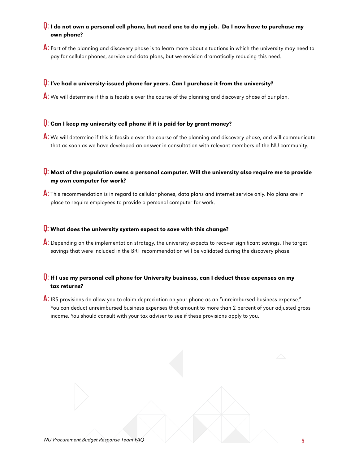# **Q:** I do not own a personal cell phone, but need one to do my job. Do I now have to purchase my own phone?

**A:** Part of the planning and discovery phase is to learn more about situations in which the university may need to pay for cellular phones, service and data plans, but we envision dramatically reducing this need.

#### **Q:** I've had a university-issued phone for years. Can I purchase it from the university?

A: We will determine if this is feasible over the course of the planning and discovery phase of our plan.

#### **Q:** Can I keep my university cell phone if it is paid for by grant money?

**A:** We will determine if this is feasible over the course of the planning and discovery phase, and will communicate that as soon as we have developed an answer in consultation with relevant members of the NU community.

### **Q:** Most of the population owns a personal computer. Will the university also require me to provide my own computer for work?

**A:** This recommendation is in regard to cellular phones, data plans and internet service only. No plans are in place to require employees to provide a personal computer for work.

#### **Q:** What does the university system expect to save with this change?

**A:** Depending on the implementation strategy, the university expects to recover significant savings. The target savings that were included in the BRT recommendation will be validated during the discovery phase.

# **Q:** If I use my personal cell phone for University business, can I deduct these expenses on my tax returns?

**A:** IRS provisions do allow you to claim depreciation on your phone as an "unreimbursed business expense." You can deduct unreimbursed business expenses that amount to more than 2 percent of your adjusted gross income. You should consult with your tax adviser to see if these provisions apply to you.

NU **5** Procurement Budget Response Team FAQ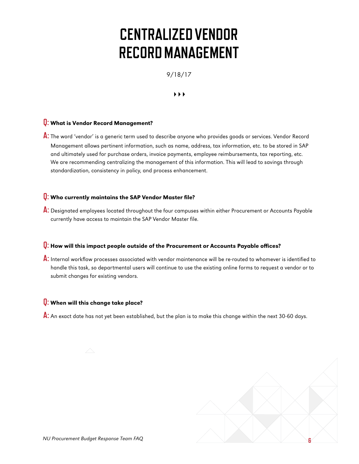# **CENTRALIZED VENDOR RECORD MANAGEMENT**

9/18/17

 $\rightarrow$   $\rightarrow$ 

# **Q:** What is Vendor Record Management?

**A:** The word 'vendor' is a generic term used to describe anyone who provides goods or services. Vendor Record Management allows pertinent information, such as name, address, tax information, etc. to be stored in SAP and ultimately used for purchase orders, invoice payments, employee reimbursements, tax reporting, etc. We are recommending centralizing the management of this information. This will lead to savings through standardization, consistency in policy, and process enhancement.

### **Q:** Who currently maintains the SAP Vendor Master file?

**A:** Designated employees located throughout the four campuses within either Procurement or Accounts Payable currently have access to maintain the SAP Vendor Master file.

#### **Q:** How will this impact people outside of the Procurement or Accounts Payable offices?

**A:** Internal workflow processes associated with vendor maintenance will be re-routed to whomever is identified to handle this task, so departmental users will continue to use the existing online forms to request a vendor or to submit changes for existing vendors.

#### **Q:** When will this change take place?

**A:** An exact date has not yet been established, but the plan is to make this change within the next 30-60 days.